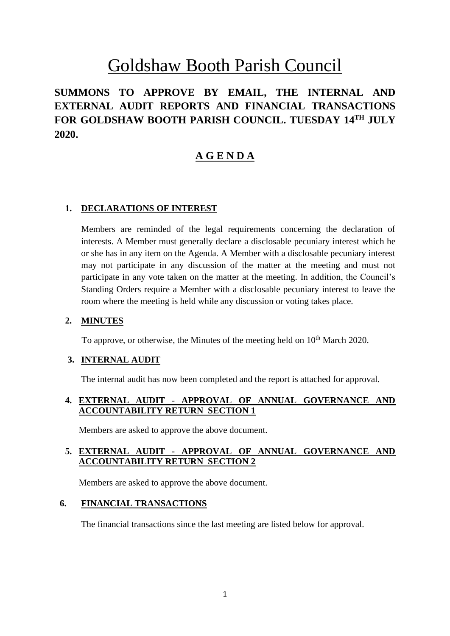# Goldshaw Booth Parish Council

# **SUMMONS TO APPROVE BY EMAIL, THE INTERNAL AND EXTERNAL AUDIT REPORTS AND FINANCIAL TRANSACTIONS FOR GOLDSHAW BOOTH PARISH COUNCIL. TUESDAY 14TH JULY 2020.**

# **A G E N D A**

### **1. DECLARATIONS OF INTEREST**

Members are reminded of the legal requirements concerning the declaration of interests. A Member must generally declare a disclosable pecuniary interest which he or she has in any item on the Agenda. A Member with a disclosable pecuniary interest may not participate in any discussion of the matter at the meeting and must not participate in any vote taken on the matter at the meeting. In addition, the Council's Standing Orders require a Member with a disclosable pecuniary interest to leave the room where the meeting is held while any discussion or voting takes place.

#### **2. MINUTES**

To approve, or otherwise, the Minutes of the meeting held on  $10<sup>th</sup>$  March 2020.

#### **3. INTERNAL AUDIT**

The internal audit has now been completed and the report is attached for approval.

# **4. EXTERNAL AUDIT - APPROVAL OF ANNUAL GOVERNANCE AND ACCOUNTABILITY RETURN SECTION 1**

Members are asked to approve the above document.

## **5. EXTERNAL AUDIT - APPROVAL OF ANNUAL GOVERNANCE AND ACCOUNTABILITY RETURN SECTION 2**

Members are asked to approve the above document.

### **6. FINANCIAL TRANSACTIONS**

The financial transactions since the last meeting are listed below for approval.